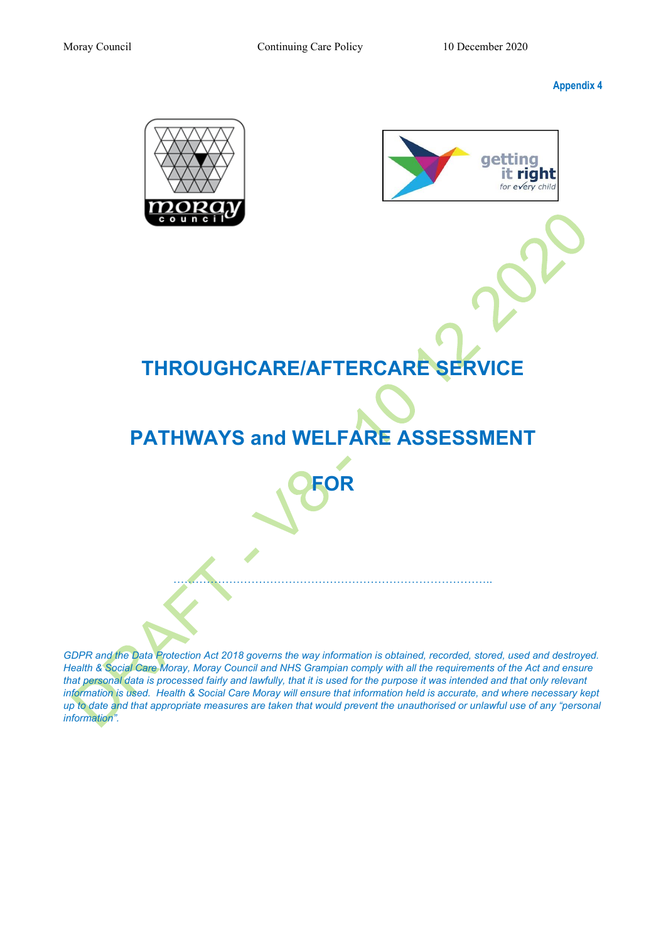Moray Council Continuing Care Policy 10 December 2020

**Appendix 4** 



*GDPR and the Data Protection Act 2018 governs the way information is obtained, recorded, stored, used and destroyed. Health & Social Care Moray, Moray Council and NHS Grampian comply with all the requirements of the Act and ensure that personal data is processed fairly and lawfully, that it is used for the purpose it was intended and that only relevant information is used. Health & Social Care Moray will ensure that information held is accurate, and where necessary kept up to date and that appropriate measures are taken that would prevent the unauthorised or unlawful use of any "personal information".*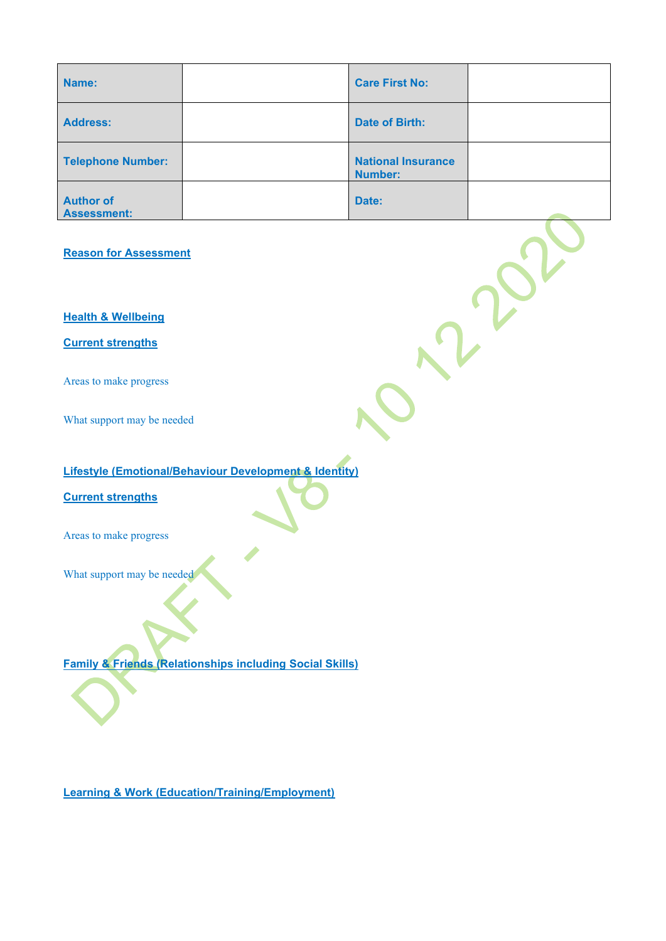| Name:                                  | <b>Care First No:</b>                       |  |
|----------------------------------------|---------------------------------------------|--|
| <b>Address:</b>                        | <b>Date of Birth:</b>                       |  |
| Telephone Number:                      | <b>National Insurance</b><br><b>Number:</b> |  |
| <b>Author of</b><br><b>Assessment:</b> | Date:                                       |  |

**Reason for Assessment** 

**Health & Wellbeing** 

**Current strengths** 

Areas to make progress

What support may be needed

# **Lifestyle (Emotional/Behaviour Development & Identity)**

**Current strengths** 

Areas to make progress

What support may be needed

**Family & Friends (Relationships including Social Skills)** 

**Learning & Work (Education/Training/Employment)**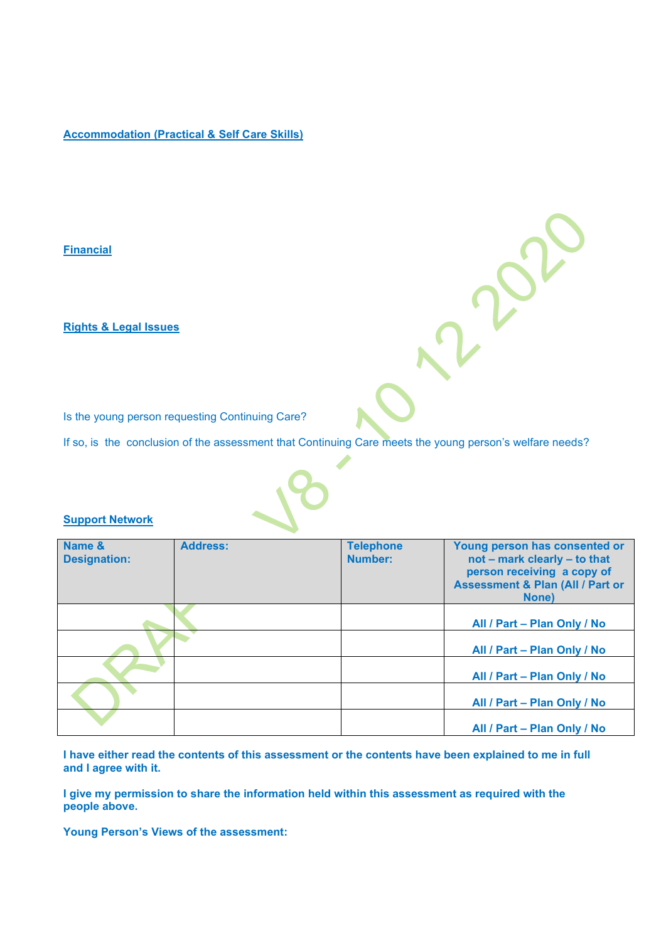# **Accommodation (Practical & Self Care Skills)**

#### **Financial**

**Rights & Legal Issues** 

Is the young person requesting Continuing Care?

If so, is the conclusion of the assessment that Continuing Care meets the young person's welfare needs?

#### **Support Network**

| Name &<br><b>Designation:</b> | <b>Address:</b> | <b>Telephone</b><br>Number: | Young person has consented or<br>not - mark clearly - to that<br>person receiving a copy of<br><b>Assessment &amp; Plan (All / Part or</b><br>None) |
|-------------------------------|-----------------|-----------------------------|-----------------------------------------------------------------------------------------------------------------------------------------------------|
|                               |                 |                             | All / Part - Plan Only / No                                                                                                                         |
|                               |                 |                             | All / Part - Plan Only / No                                                                                                                         |
|                               |                 |                             | All / Part - Plan Only / No                                                                                                                         |
|                               |                 |                             | All / Part - Plan Only / No                                                                                                                         |
|                               |                 |                             | All / Part - Plan Only / No                                                                                                                         |

**I have either read the contents of this assessment or the contents have been explained to me in full and I agree with it.** 

**I give my permission to share the information held within this assessment as required with the people above.** 

**Young Person's Views of the assessment:**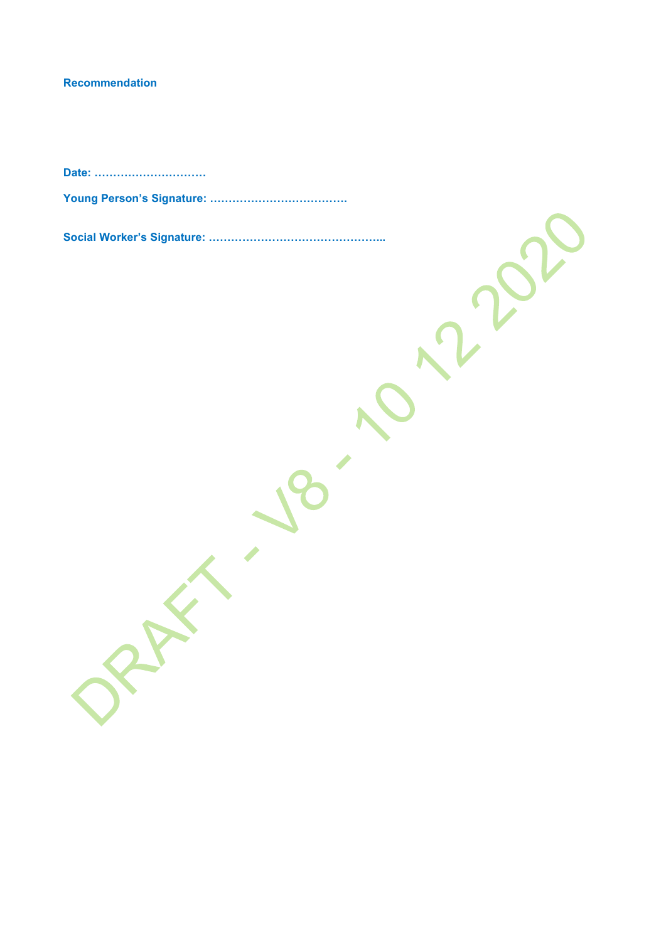# **Recommendation**

**Date: …………………………**

**Young Person's Signature: ……………………………….**

**Social Worker's Signature: ………………………………………...**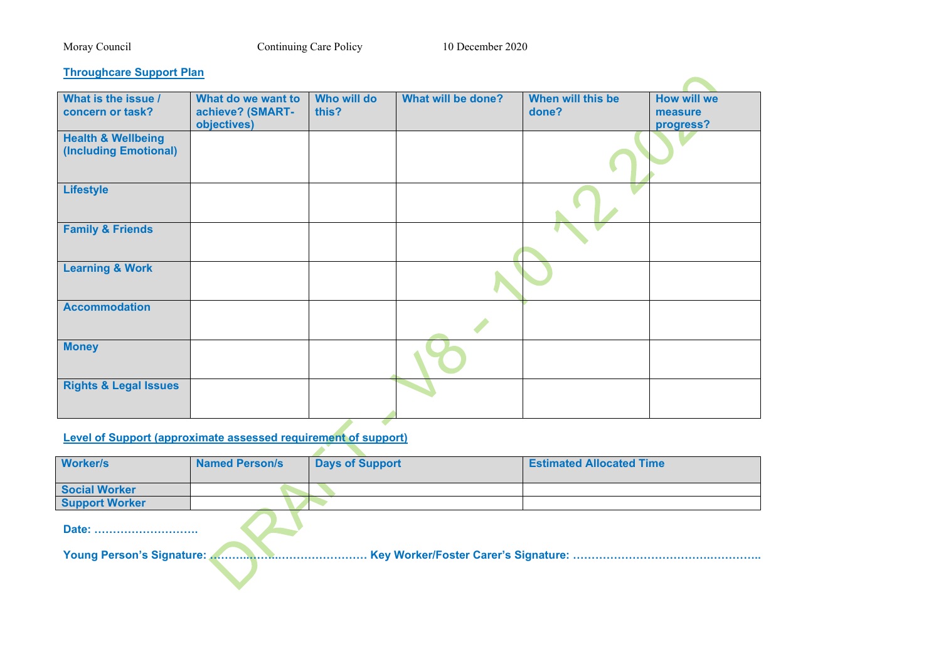### Moray Council Continuing Care Policy 10 December 2020

#### **Throughcare Support Plan**

| <u>Impagneal cappoit ran</u>                           |                                                       |                      |                    |                            |                                            |
|--------------------------------------------------------|-------------------------------------------------------|----------------------|--------------------|----------------------------|--------------------------------------------|
| What is the issue /<br>concern or task?                | What do we want to<br>achieve? (SMART-<br>objectives) | Who will do<br>this? | What will be done? | When will this be<br>done? | <b>How will we</b><br>measure<br>progress? |
| <b>Health &amp; Wellbeing</b><br>(Including Emotional) |                                                       |                      |                    |                            |                                            |
| <b>Lifestyle</b>                                       |                                                       |                      |                    |                            |                                            |
| <b>Family &amp; Friends</b>                            |                                                       |                      |                    |                            |                                            |
| <b>Learning &amp; Work</b>                             |                                                       |                      |                    |                            |                                            |
| <b>Accommodation</b>                                   |                                                       |                      |                    |                            |                                            |
| <b>Money</b>                                           |                                                       |                      |                    |                            |                                            |
| <b>Rights &amp; Legal Issues</b>                       |                                                       |                      |                    |                            |                                            |

# **Level of Support (approximate assessed requirement of support)**

| <b>Worker/s</b>       | <b>Named Person/s</b> | <b>Days of Support</b> | <b>Estimated Allocated Time</b> |
|-----------------------|-----------------------|------------------------|---------------------------------|
| <b>Social Worker</b>  |                       |                        |                                 |
| <b>Support Worker</b> |                       |                        |                                 |
| Date:                 |                       |                        |                                 |

**Young Person's Signature: ………..……..…………………… Key Worker/Foster Carer's Signature: ……………………………….…………..**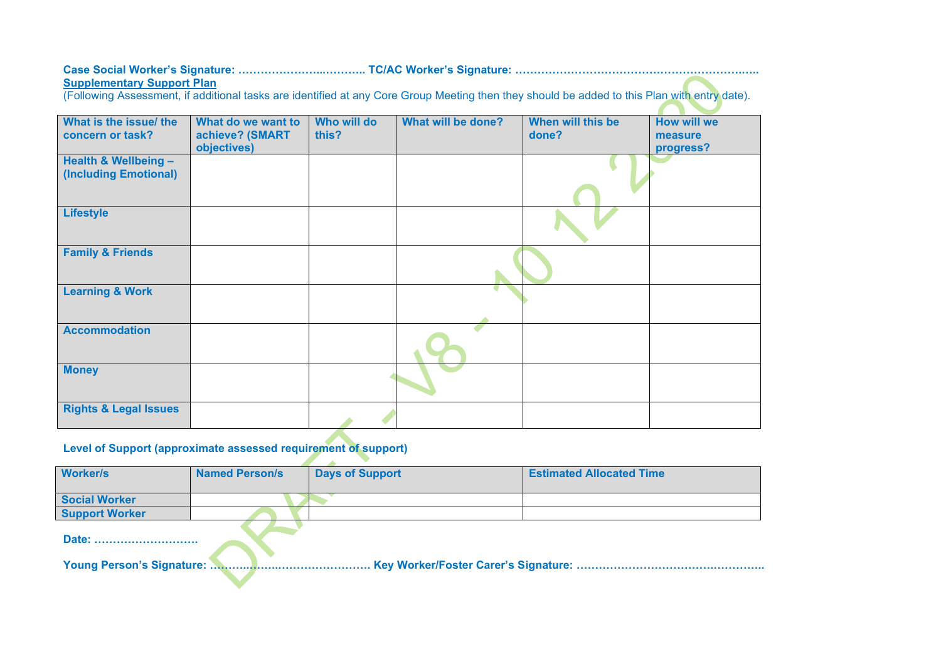# **Case Social Worker's Signature: …………………...……….. TC/AC Worker's Signature: …………………………………………………….….. Supplementary Support Plan**

(Following Assessment, if additional tasks are identified at any Core Group Meeting then they should be added to this Plan with entry date).

| What is the issue/ the<br>concern or task?    | What do we want to<br>achieve? (SMART<br>objectives) | Who will do<br>this? | What will be done? | When will this be<br>done? | <b>How will we</b><br>measure<br>progress? |
|-----------------------------------------------|------------------------------------------------------|----------------------|--------------------|----------------------------|--------------------------------------------|
| Health & Wellbeing -<br>(Including Emotional) |                                                      |                      |                    |                            |                                            |
| <b>Lifestyle</b>                              |                                                      |                      |                    |                            |                                            |
| <b>Family &amp; Friends</b>                   |                                                      |                      |                    |                            |                                            |
| <b>Learning &amp; Work</b>                    |                                                      |                      |                    |                            |                                            |
| <b>Accommodation</b>                          |                                                      |                      |                    |                            |                                            |
| <b>Money</b>                                  |                                                      |                      |                    |                            |                                            |
| <b>Rights &amp; Legal Issues</b>              |                                                      |                      |                    |                            |                                            |

# **Level of Support (approximate assessed requirement of support)**

| <b>Worker/s</b>       | <b>Named Person/s</b> | <b>Days of Support</b> | <b>Estimated Allocated Time</b> |  |
|-----------------------|-----------------------|------------------------|---------------------------------|--|
| <b>Social Worker</b>  |                       |                        |                                 |  |
| <b>Support Worker</b> |                       |                        |                                 |  |
| Date:                 |                       |                        |                                 |  |
|                       |                       |                        |                                 |  |